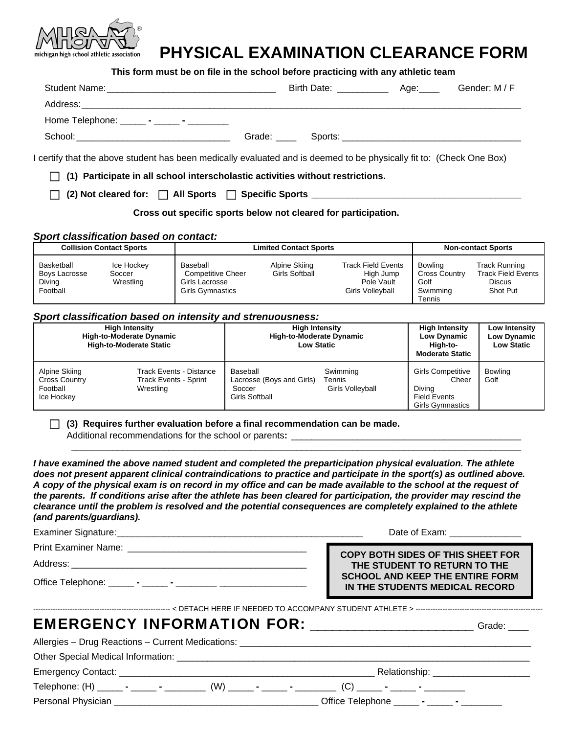

# **PHYSICAL EXAMINATION CLEARANCE FORM**

**This form must be on file in the school before practicing with any athletic team** 

| Home Telephone: _______ - ______ - _________                                                                         |  |  |
|----------------------------------------------------------------------------------------------------------------------|--|--|
|                                                                                                                      |  |  |
| I certify that the above student has been medically evaluated and is deemed to be physically fit to: (Check One Box) |  |  |
| $\Box$ (1) Participate in all school interscholastic activities without restrictions.                                |  |  |
| (2) Not cleared for: □ All Sports □ Specific Sports ____________________________                                     |  |  |

 **Cross out specific sports below not cleared for participation.** 

## *Sport classification based on contact:*

|                                                   | <b>Collision Contact Sports</b>   |                                                                                   | <b>Limited Contact Sports</b>   |                                                                          |                                                               | <b>Non-contact Sports</b>                                                      |
|---------------------------------------------------|-----------------------------------|-----------------------------------------------------------------------------------|---------------------------------|--------------------------------------------------------------------------|---------------------------------------------------------------|--------------------------------------------------------------------------------|
| Basketball<br>Boys Lacrosse<br>Diving<br>Football | Ice Hockey<br>Soccer<br>Wrestling | Baseball<br><b>Competitive Cheer</b><br>Girls Lacrosse<br><b>Girls Gymnastics</b> | Alpine Skiing<br>Girls Softball | <b>Track Field Events</b><br>High Jump<br>Pole Vault<br>Girls Volleyball | Bowling<br><b>Cross Country</b><br>Golf<br>Swimming<br>Tennis | <b>Track Running</b><br><b>Track Field Events</b><br><b>Discus</b><br>Shot Put |

## *Sport classification based on intensity and strenuousness:*

|                                                                 | <b>High Intensity</b><br>High-to-Moderate Dynamic<br><b>High-to-Moderate Static</b> | <b>High Intensity</b><br><b>High-to-Moderate Dynamic</b><br><b>Low Static</b> |                                        | <b>High Intensity</b><br><b>Low Dynamic</b><br>High-to-<br><b>Moderate Static</b>             | Low Intensity<br>Low Dynamic<br><b>Low Static</b> |
|-----------------------------------------------------------------|-------------------------------------------------------------------------------------|-------------------------------------------------------------------------------|----------------------------------------|-----------------------------------------------------------------------------------------------|---------------------------------------------------|
| Alpine Skiing<br><b>Cross Country</b><br>Football<br>Ice Hockey | <b>Track Events - Distance</b><br><b>Track Events - Sprint</b><br>Wrestling         | Baseball<br>Lacrosse (Boys and Girls)<br>Soccer<br><b>Girls Softball</b>      | Swimming<br>Tennis<br>Girls Volleyball | <b>Girls Competitive</b><br>Cheer<br>Diving<br><b>Field Events</b><br><b>Girls Gymnastics</b> | <b>Bowling</b><br>Golf                            |

## **(3) Requires further evaluation before a final recommendation can be made.**

Additional recommendations for the school or parents:

*I have examined the above named student and completed the preparticipation physical evaluation. The athlete*  does not present apparent clinical contraindications to practice and participate in the sport(s) as outlined above. *A copy of the physical exam is on record in my office and can be made available to the school at the request of the parents. If conditions arise after the athlete has been cleared for participation, the provider may rescind the clearance until the problem is resolved and the potential consequences are completely explained to the athlete (and parents/guardians).* 

 $\mathcal{L}_\mathcal{L} = \mathcal{L}_\mathcal{L} = \mathcal{L}_\mathcal{L} = \mathcal{L}_\mathcal{L} = \mathcal{L}_\mathcal{L} = \mathcal{L}_\mathcal{L} = \mathcal{L}_\mathcal{L} = \mathcal{L}_\mathcal{L} = \mathcal{L}_\mathcal{L} = \mathcal{L}_\mathcal{L} = \mathcal{L}_\mathcal{L} = \mathcal{L}_\mathcal{L} = \mathcal{L}_\mathcal{L} = \mathcal{L}_\mathcal{L} = \mathcal{L}_\mathcal{L} = \mathcal{L}_\mathcal{L} = \mathcal{L}_\mathcal{L}$ 

| <b>COPY BOTH SIDES OF THIS SHEET FOR</b>                                 |
|--------------------------------------------------------------------------|
| THE STUDENT TO RETURN TO THE                                             |
| <b>SCHOOL AND KEEP THE ENTIRE FORM</b><br>IN THE STUDENTS MEDICAL RECORD |
|                                                                          |

| EMERGENCY INFORMATION FOR: ____________________ | Grade: ____ |
|-------------------------------------------------|-------------|
|                                                 |             |
|                                                 |             |
|                                                 |             |
|                                                 |             |
|                                                 |             |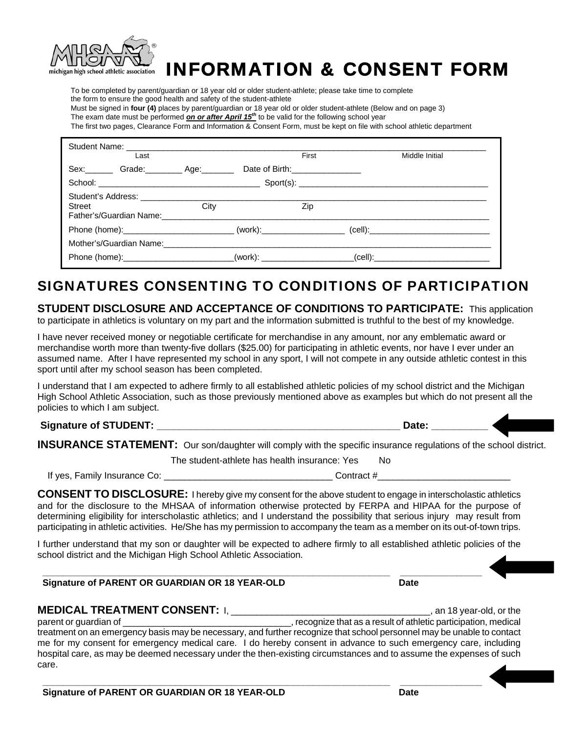

# INFORMATION & CONSENT FORM

 To be completed by parent/guardian or 18 year old or older student-athlete; please take time to complete the form to ensure the good health and safety of the student-athlete Must be signed in **four (4)** places by parent/guardian or 18 year old or older student-athlete (Below and on page 3) The exam date must be performed *on or after April 15th* to be valid for the following school year

The first two pages, Clearance Form and Information & Consent Form, must be kept on file with school athletic department

|        | Last                                                                             |      |                                 | First | Middle Initial                                                                                       |
|--------|----------------------------------------------------------------------------------|------|---------------------------------|-------|------------------------------------------------------------------------------------------------------|
|        | Sex: Grade: Age: Age:                                                            |      | Date of Birth:_________________ |       |                                                                                                      |
|        |                                                                                  |      |                                 |       |                                                                                                      |
| Street | Father's/Guardian Name:                                                          | City |                                 | Zip   |                                                                                                      |
|        |                                                                                  |      |                                 |       | Phone (home):______________________________(work):_____________________(cell):______________________ |
|        | Mother's/Guardian Name:                                                          |      |                                 |       |                                                                                                      |
|        | Phone (home):___________________________(work): ________________________________ |      |                                 |       |                                                                                                      |

# SIGNATURES CONSENTING TO CONDITIONS OF PARTICIPATION

**STUDENT DISCLOSURE AND ACCEPTANCE OF CONDITIONS TO PARTICIPATE:** This application to participate in athletics is voluntary on my part and the information submitted is truthful to the best of my knowledge.

I have never received money or negotiable certificate for merchandise in any amount, nor any emblematic award or merchandise worth more than twenty-five dollars (\$25.00) for participating in athletic events, nor have I ever under an assumed name. After I have represented my school in any sport, I will not compete in any outside athletic contest in this sport until after my school season has been completed.

I understand that I am expected to adhere firmly to all established athletic policies of my school district and the Michigan High School Athletic Association, such as those previously mentioned above as examples but which do not present all the policies to which I am subject.

 **Signature of STUDENT: \_\_\_\_\_\_\_\_\_\_\_\_\_\_\_\_\_\_\_\_\_\_\_\_\_\_\_\_\_\_\_\_\_\_\_\_\_\_\_\_\_\_\_ Date: \_\_\_\_\_\_\_\_\_\_** 

**INSURANCE STATEMENT:** Our son/daughter will comply with the specific insurance regulations of the school district.

The student-athlete has health insurance: Yes No

If yes, Family Insurance Co: \_\_\_\_\_\_\_\_\_\_\_\_\_\_\_\_\_\_\_\_\_\_\_\_\_\_\_\_\_\_\_\_\_ Contract #\_\_\_\_\_\_\_\_\_\_\_\_\_\_\_\_\_\_\_\_\_\_\_\_\_\_

**CONSENT TO DISCLOSURE:** I hereby give my consent for the above student to engage in interscholastic athletics and for the disclosure to the MHSAA of information otherwise protected by FERPA and HIPAA for the purpose of determining eligibility for interscholastic athletics; and I understand the possibility that serious injury may result from participating in athletic activities. He/She has my permission to accompany the team as a member on its out-of-town trips.

I further understand that my son or daughter will be expected to adhere firmly to all established athletic policies of the school district and the Michigan High School Athletic Association.

 **\_\_\_\_\_\_\_\_\_\_\_\_\_\_\_\_\_\_\_\_\_\_\_\_\_\_\_\_\_\_\_\_\_\_\_\_\_\_\_\_\_\_\_\_\_\_\_\_\_\_\_\_\_\_\_\_\_\_\_\_\_\_\_\_\_\_\_\_ \_\_\_\_\_\_\_\_\_\_\_\_\_\_\_\_** 

 **\_\_\_\_\_\_\_\_\_\_\_\_\_\_\_\_\_\_\_\_\_\_\_\_\_\_\_\_\_\_\_\_\_\_\_\_\_\_\_\_\_\_\_\_\_\_\_\_\_\_\_\_\_\_\_\_\_\_\_\_\_\_\_\_\_\_\_\_ \_\_\_\_\_\_\_\_\_\_\_\_\_\_\_\_** 

## **Signature of PARENT OR GUARDIAN OR 18 YEAR-OLD Date Date**

**MEDICAL TREATMENT CONSENT:** I, \_\_\_\_\_\_\_\_\_\_\_\_\_\_\_\_\_\_\_\_\_\_\_\_\_\_\_\_\_\_\_\_\_\_\_\_\_\_\_, an 18 year-old, or the

parent or guardian of \_\_\_\_\_\_\_\_\_\_\_\_\_\_\_\_\_\_\_\_\_\_\_\_\_\_\_\_\_\_\_\_\_, recognize that as a result of athletic participation, medical treatment on an emergency basis may be necessary, and further recognize that school personnel may be unable to contact me for my consent for emergency medical care. I do hereby consent in advance to such emergency care, including hospital care, as may be deemed necessary under the then-existing circumstances and to assume the expenses of such care.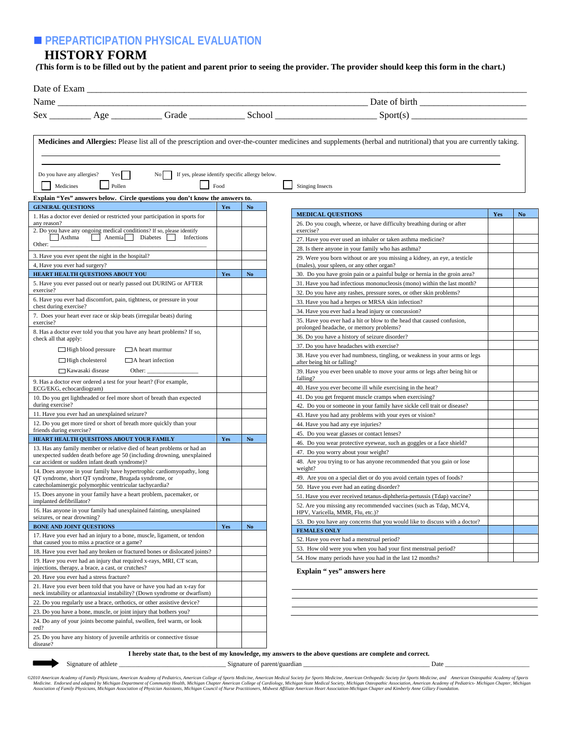## **PREPARTICIPATION PHYSICAL EVALUATION**

## **HISTORY FORM**

*(***This form is to be filled out by the patient and parent prior to seeing the provider. The provider should keep this form in the chart.)**

|                                                                                                                                                      |      |                | $Sex \_\_\_\_ \Age \_\_\_\_\_ \(School \_\_\_\_\_$ School $_Sport(s) \_\_\_\_\_ \$                                                                                  |     |                |
|------------------------------------------------------------------------------------------------------------------------------------------------------|------|----------------|---------------------------------------------------------------------------------------------------------------------------------------------------------------------|-----|----------------|
|                                                                                                                                                      |      |                | Medicines and Allergies: Please list all of the prescription and over-the-counter medicines and supplements (herbal and nutritional) that you are currently taking. |     |                |
|                                                                                                                                                      |      |                |                                                                                                                                                                     |     |                |
|                                                                                                                                                      |      |                |                                                                                                                                                                     |     |                |
| Do you have any allergies?<br>No<br>If yes, please identify specific allergy below.<br>Yes                                                           |      |                |                                                                                                                                                                     |     |                |
| Medicines<br>Pollen                                                                                                                                  | Food |                | <b>Stinging Insects</b>                                                                                                                                             |     |                |
| Explain "Yes" answers below. Circle questions you don't know the answers to.                                                                         |      |                |                                                                                                                                                                     |     |                |
| <b>GENERAL QUESTIONS</b>                                                                                                                             | Yes  | No.            |                                                                                                                                                                     |     |                |
| 1. Has a doctor ever denied or restricted your participation in sports for                                                                           |      |                | <b>MEDICAL QUESTIONS</b>                                                                                                                                            | Yes | N <sub>o</sub> |
| any reason?<br>2. Do you have any ongoing medical conditions? If so, please identify                                                                 |      |                | 26. Do you cough, wheeze, or have difficulty breathing during or after<br>exercise?                                                                                 |     |                |
| Anemia     Diabetes     Infections<br>Asthma                                                                                                         |      |                | 27. Have you ever used an inhaler or taken asthma medicine?                                                                                                         |     |                |
| Other:                                                                                                                                               |      |                | 28. Is there anyone in your family who has asthma?                                                                                                                  |     |                |
| 3. Have you ever spent the night in the hospital?                                                                                                    |      |                | 29. Were you born without or are you missing a kidney, an eye, a testicle                                                                                           |     |                |
| 4, Have you ever had surgery?                                                                                                                        |      |                | (males), your spleen, or any other organ?                                                                                                                           |     |                |
| HEART HEALTH QUESTIONS ABOUT YOU                                                                                                                     | Yes  | N <sub>o</sub> | 30. Do you have groin pain or a painful bulge or hernia in the groin area?                                                                                          |     |                |
| 5. Have you ever passed out or nearly passed out DURING or AFTER                                                                                     |      |                | 31. Have you had infectious mononucleosis (mono) within the last month?                                                                                             |     |                |
| exercise?<br>6. Have you ever had discomfort, pain, tightness, or pressure in your                                                                   |      |                | 32. Do you have any rashes, pressure sores, or other skin problems?                                                                                                 |     |                |
| chest during exercise?                                                                                                                               |      |                | 33. Have you had a herpes or MRSA skin infection?                                                                                                                   |     |                |
| 7. Does your heart ever race or skip beats (irregular beats) during                                                                                  |      |                | 34. Have you ever had a head injury or concussion?                                                                                                                  |     |                |
| exercise?                                                                                                                                            |      |                | 35. Have you ever had a hit or blow to the head that caused confusion,<br>prolonged headache, or memory problems?                                                   |     |                |
| 8. Has a doctor ever told you that you have any heart problems? If so,                                                                               |      |                | 36. Do you have a history of seizure disorder?                                                                                                                      |     |                |
| check all that apply:                                                                                                                                |      |                | 37. Do you have headaches with exercise?                                                                                                                            |     |                |
| $\Box$ High blood pressure<br>$\Box$ A heart murmur                                                                                                  |      |                | 38. Have you ever had numbness, tingling, or weakness in your arms or legs                                                                                          |     |                |
| $\Box$ High cholesterol<br>$\Box$ A heart infection                                                                                                  |      |                | after being hit or falling?                                                                                                                                         |     |                |
| □ Kawasaki disease<br>Other:                                                                                                                         |      |                | 39. Have you ever been unable to move your arms or legs after being hit or                                                                                          |     |                |
| 9. Has a doctor ever ordered a test for your heart? (For example,                                                                                    |      |                | falling?                                                                                                                                                            |     |                |
| ECG/EKG, echocardiogram)                                                                                                                             |      |                | 40. Have you ever become ill while exercising in the heat?<br>41. Do you get frequent muscle cramps when exercising?                                                |     |                |
| 10. Do you get lightheaded or feel more short of breath than expected<br>during exercise?                                                            |      |                | 42. Do you or someone in your family have sickle cell trait or disease?                                                                                             |     |                |
| 11. Have you ever had an unexplained seizure?                                                                                                        |      |                | 43. Have you had any problems with your eyes or vision?                                                                                                             |     |                |
| 12. Do you get more tired or short of breath more quickly than your                                                                                  |      |                | 44. Have you had any eye injuries?                                                                                                                                  |     |                |
| friends during exercise?                                                                                                                             |      |                | 45. Do you wear glasses or contact lenses?                                                                                                                          |     |                |
| HEART HEALTH QUESITONS ABOUT YOUR FAMILY                                                                                                             | Yes  | <b>No</b>      | 46. Do you wear protective eyewear, such as goggles or a face shield?                                                                                               |     |                |
| 13. Has any family member or relative died of heart problems or had an<br>unexpected sudden death before age 50 (including drowning, unexplained     |      |                | 47. Do you worry about your weight?                                                                                                                                 |     |                |
| car accident or sudden infant death syndrome)?                                                                                                       |      |                | 48. Are you trying to or has anyone recommended that you gain or lose                                                                                               |     |                |
| 14. Does anyone in your family have hypertrophic cardiomyopathy, long                                                                                |      |                | weight?                                                                                                                                                             |     |                |
| OT syndrome, short OT syndrome, Brugada syndrome, or                                                                                                 |      |                | 49. Are you on a special diet or do you avoid certain types of foods?                                                                                               |     |                |
| catecholaminergic polymorphic ventricular tachycardia?<br>15. Does anyone in your family have a heart problem, pacemaker, or                         |      |                | 50. Have you ever had an eating disorder?                                                                                                                           |     |                |
| implanted defibrillator?                                                                                                                             |      |                | 51. Have you ever received tetanus-diphtheria-pertussis (Tdap) vaccine?                                                                                             |     |                |
| 16. Has anyone in your family had unexplained fainting, unexplained                                                                                  |      |                | 52. Are you missing any recommended vaccines (such as Tdap, MCV4,<br>HPV, Varicella, MMR, Flu, etc.)?                                                               |     |                |
| seizures, or near drowning?                                                                                                                          |      |                | 53. Do you have any concerns that you would like to discuss with a doctor?                                                                                          |     |                |
| <b>BONE AND JOINT QUESTIONS</b>                                                                                                                      | Yes  | No             | <b>FEMALES ONLY</b>                                                                                                                                                 |     |                |
| 17. Have you ever had an injury to a bone, muscle, ligament, or tendon<br>that caused you to miss a practice or a game?                              |      |                | 52. Have you ever had a menstrual period?                                                                                                                           |     |                |
| 18. Have you ever had any broken or fractured bones or dislocated joints?                                                                            |      |                | 53. How old were you when you had your first menstrual period?                                                                                                      |     |                |
| 19. Have you ever had an injury that required x-rays, MRI, CT scan,                                                                                  |      |                | 54. How many periods have you had in the last 12 months?                                                                                                            |     |                |
| injections, therapy, a brace, a cast, or crutches?                                                                                                   |      |                | Explain "yes" answers here                                                                                                                                          |     |                |
| 20. Have you ever had a stress fracture?                                                                                                             |      |                |                                                                                                                                                                     |     |                |
| 21. Have you ever been told that you have or have you had an x-ray for                                                                               |      |                |                                                                                                                                                                     |     |                |
| neck instability or atlantoaxial instability? (Down syndrome or dwarfism)<br>22. Do you regularly use a brace, orthotics, or other assistive device? |      |                |                                                                                                                                                                     |     |                |
| 23. Do you have a bone, muscle, or joint injury that bothers you?                                                                                    |      |                |                                                                                                                                                                     |     |                |
| 24. Do any of your joints become painful, swollen, feel warm, or look                                                                                |      |                |                                                                                                                                                                     |     |                |
| red?                                                                                                                                                 |      |                |                                                                                                                                                                     |     |                |
| 25. Do you have any history of juvenile arthritis or connective tissue                                                                               |      |                |                                                                                                                                                                     |     |                |
| disease?                                                                                                                                             |      |                |                                                                                                                                                                     |     |                |

Signature of athlete \_\_\_\_\_\_\_\_\_\_\_\_\_\_\_\_\_\_\_\_\_\_\_\_\_\_\_\_\_\_\_\_\_ Signature of parent/guardian \_\_\_\_\_\_\_\_\_\_\_\_\_\_\_\_\_\_\_\_\_\_\_\_\_\_\_\_\_\_\_\_\_\_\_\_\_\_\_ Date \_\_\_\_\_\_\_\_\_\_\_\_\_\_\_\_\_\_\_\_\_\_\_\_\_\_

©2010 American Academy of Family Physicians, American Academy of Pediatrics, American College of Sports Medicine, American Medical Society for Sports Medicine, American Orthopedic Society for Sports Medicine, and American

**I hereby state that, to the best of my knowledge, my answers to the above questions are complete and correct.**